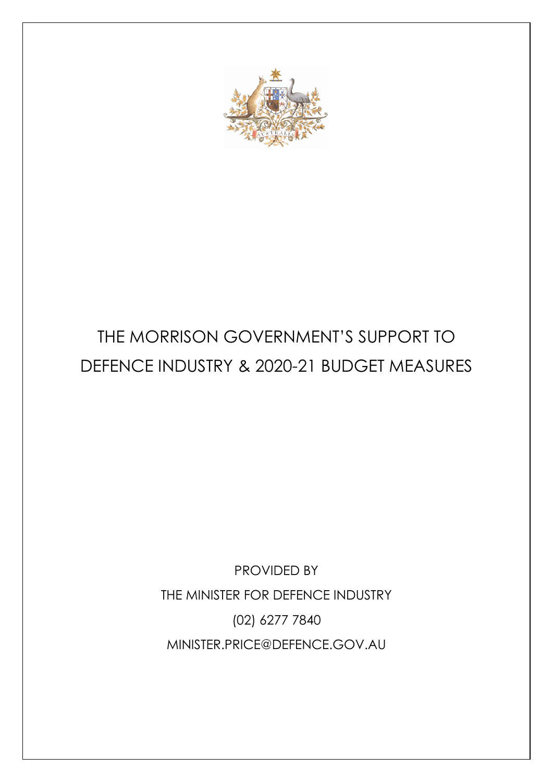

# THE MORRISON GOVERNMENT'S SUPPORT TO DEFENCE INDUSTRY & 2020-21 BUDGET MEASURES

PROVIDED BY THE MINISTER FOR DEFENCE INDUSTRY (02) 6277 7840 MINISTER.PRICE@DEFENCE.GOV.AU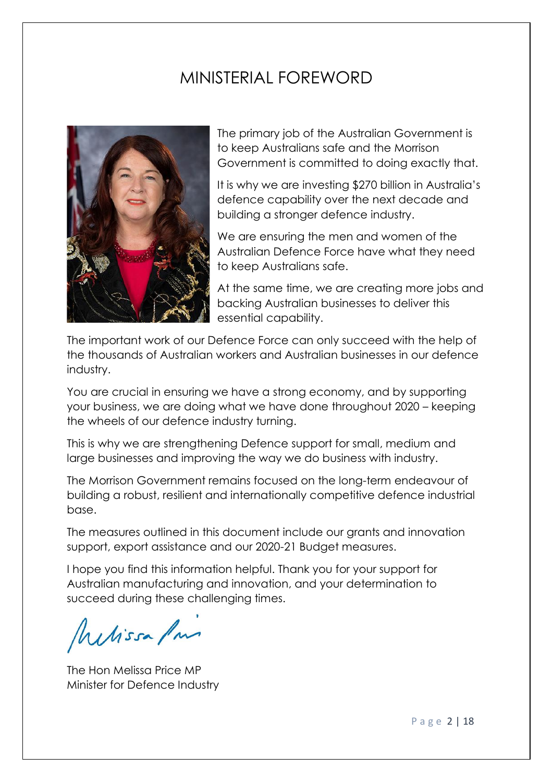# MINISTERIAL FOREWORD



The primary job of the Australian Government is to keep Australians safe and the Morrison Government is committed to doing exactly that.

It is why we are investing \$270 billion in Australia's defence capability over the next decade and building a stronger defence industry.

We are ensuring the men and women of the Australian Defence Force have what they need to keep Australians safe.

At the same time, we are creating more jobs and backing Australian businesses to deliver this essential capability.

The important work of our Defence Force can only succeed with the help of the thousands of Australian workers and Australian businesses in our defence industry.

You are crucial in ensuring we have a strong economy, and by supporting your business, we are doing what we have done throughout 2020 – keeping the wheels of our defence industry turning.

This is why we are strengthening Defence support for small, medium and large businesses and improving the way we do business with industry.

The Morrison Government remains focused on the long-term endeavour of building a robust, resilient and internationally competitive defence industrial base.

The measures outlined in this document include our grants and innovation support, export assistance and our 2020-21 Budget measures.

I hope you find this information helpful. Thank you for your support for Australian manufacturing and innovation, and your determination to succeed during these challenging times.

Melissa Pm

The Hon Melissa Price MP Minister for Defence Industry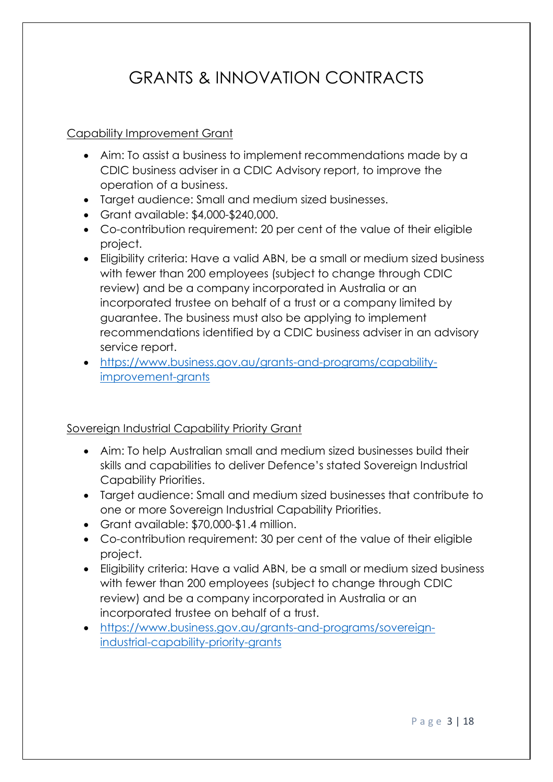# GRANTS & INNOVATION CONTRACTS

# Capability Improvement Grant

- Aim: To assist a business to implement recommendations made by a CDIC business adviser in a CDIC Advisory report, to improve the operation of a business.
- Target audience: Small and medium sized businesses.
- Grant available: \$4,000-\$240,000.
- Co-contribution requirement: 20 per cent of the value of their eligible project.
- Eligibility criteria: Have a valid ABN, be a small or medium sized business with fewer than 200 employees (subject to change through CDIC review) and be a company incorporated in Australia or an incorporated trustee on behalf of a trust or a company limited by guarantee. The business must also be applying to implement recommendations identified by a CDIC business adviser in an advisory service report.
- [https://www.business.gov.au/grants-and-programs/capability](https://www.business.gov.au/grants-and-programs/capability-improvement-grants)[improvement-grants](https://www.business.gov.au/grants-and-programs/capability-improvement-grants)

# Sovereign Industrial Capability Priority Grant

- Aim: To help Australian small and medium sized businesses build their skills and capabilities to deliver Defence's stated Sovereign Industrial Capability Priorities.
- Target audience: Small and medium sized businesses that contribute to one or more Sovereign Industrial Capability Priorities.
- Grant available: \$70,000-\$1.4 million.
- Co-contribution requirement: 30 per cent of the value of their eligible project.
- Eligibility criteria: Have a valid ABN, be a small or medium sized business with fewer than 200 employees (subject to change through CDIC review) and be a company incorporated in Australia or an incorporated trustee on behalf of a trust.
- [https://www.business.gov.au/grants-and-programs/sovereign](https://www.business.gov.au/grants-and-programs/sovereign-industrial-capability-priority-grants)[industrial-capability-priority-grants](https://www.business.gov.au/grants-and-programs/sovereign-industrial-capability-priority-grants)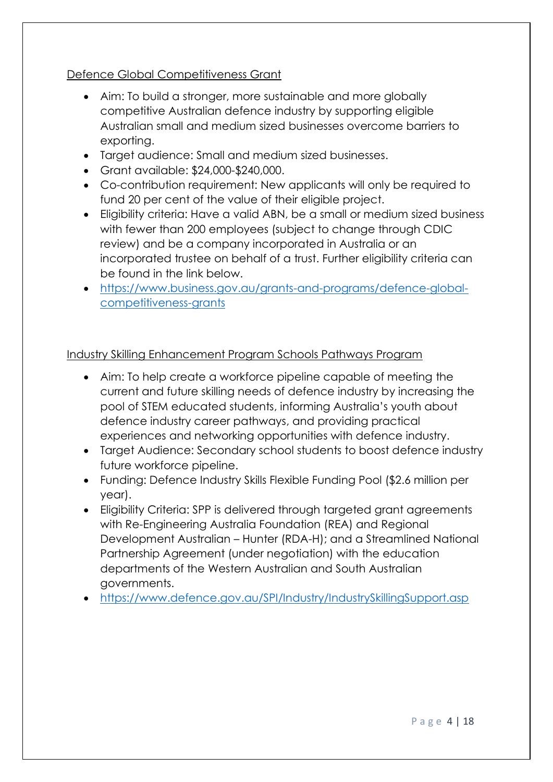# Defence Global Competitiveness Grant

- Aim: To build a stronger, more sustainable and more globally competitive Australian defence industry by supporting eligible Australian small and medium sized businesses overcome barriers to exporting.
- Target audience: Small and medium sized businesses.
- Grant available: \$24,000-\$240,000.
- Co-contribution requirement: New applicants will only be required to fund 20 per cent of the value of their eligible project.
- Eligibility criteria: Have a valid ABN, be a small or medium sized business with fewer than 200 employees (subject to change through CDIC review) and be a company incorporated in Australia or an incorporated trustee on behalf of a trust. Further eligibility criteria can be found in the link below.
- [https://www.business.gov.au/grants-and-programs/defence-global](https://www.business.gov.au/grants-and-programs/defence-global-competitiveness-grants)[competitiveness-grants](https://www.business.gov.au/grants-and-programs/defence-global-competitiveness-grants)

## Industry Skilling Enhancement Program Schools Pathways Program

- Aim: To help create a workforce pipeline capable of meeting the current and future skilling needs of defence industry by increasing the pool of STEM educated students, informing Australia's youth about defence industry career pathways, and providing practical experiences and networking opportunities with defence industry.
- Target Audience: Secondary school students to boost defence industry future workforce pipeline.
- Funding: Defence Industry Skills Flexible Funding Pool (\$2.6 million per year).
- Eligibility Criteria: SPP is delivered through targeted grant agreements with Re-Engineering Australia Foundation (REA) and Regional Development Australian – Hunter (RDA-H); and a Streamlined National Partnership Agreement (under negotiation) with the education departments of the Western Australian and South Australian governments.
- <https://www.defence.gov.au/SPI/Industry/IndustrySkillingSupport.asp>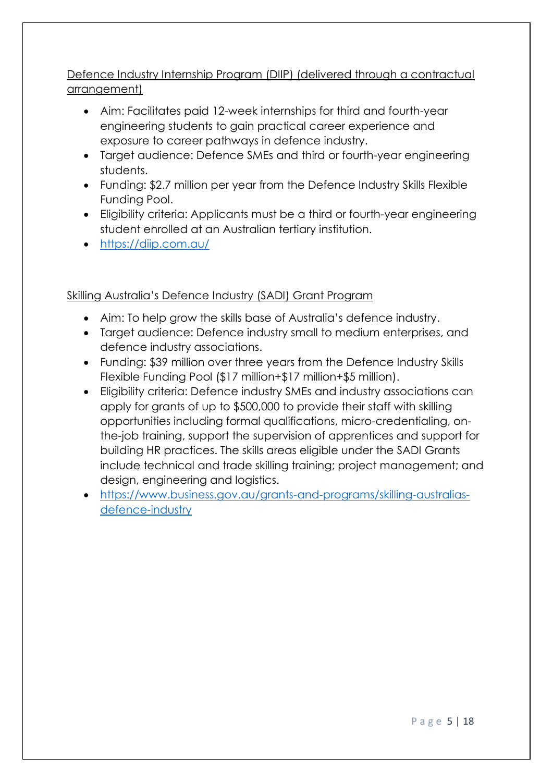# Defence Industry Internship Program (DIIP) (delivered through a contractual arrangement)

- Aim: Facilitates paid 12-week internships for third and fourth-year engineering students to gain practical career experience and exposure to career pathways in defence industry.
- Target audience: Defence SMEs and third or fourth-year engineering students.
- Funding: \$2.7 million per year from the Defence Industry Skills Flexible Funding Pool.
- Eligibility criteria: Applicants must be a third or fourth-year engineering student enrolled at an Australian tertiary institution.
- <https://diip.com.au/>

# Skilling Australia's Defence Industry (SADI) Grant Program

- Aim: To help grow the skills base of Australia's defence industry.
- Target audience: Defence industry small to medium enterprises, and defence industry associations.
- Funding: \$39 million over three years from the Defence Industry Skills Flexible Funding Pool (\$17 million+\$17 million+\$5 million).
- Eligibility criteria: Defence industry SMEs and industry associations can apply for grants of up to \$500,000 to provide their staff with skilling opportunities including formal qualifications, micro-credentialing, onthe-job training, support the supervision of apprentices and support for building HR practices. The skills areas eligible under the SADI Grants include technical and trade skilling training; project management; and design, engineering and logistics.
- [https://www.business.gov.au/grants-and-programs/skilling-australias](https://www.business.gov.au/grants-and-programs/skilling-australias-defence-industry)[defence-industry](https://www.business.gov.au/grants-and-programs/skilling-australias-defence-industry)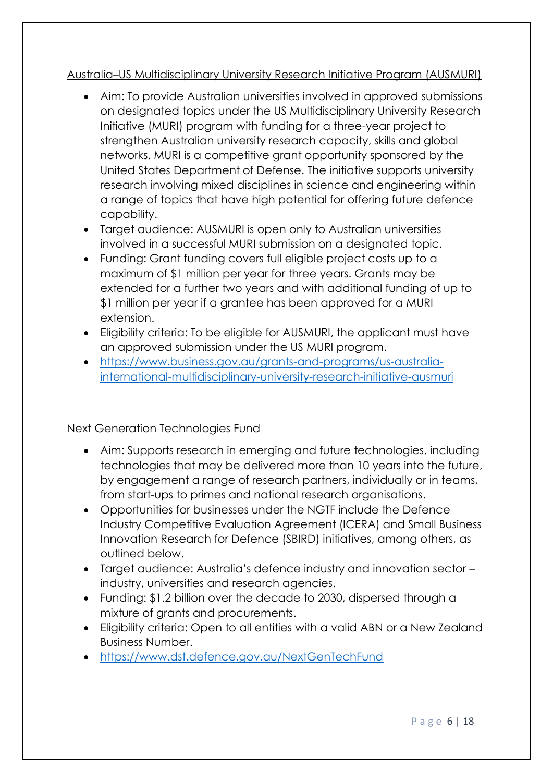# Australia–US Multidisciplinary University Research Initiative Program (AUSMURI)

- Aim: To provide Australian universities involved in approved submissions on designated topics under the US Multidisciplinary University Research Initiative (MURI) program with funding for a three-year project to strengthen Australian university research capacity, skills and global networks. MURI is a competitive grant opportunity sponsored by the United States Department of Defense. The initiative supports university research involving mixed disciplines in science and engineering within a range of topics that have high potential for offering future defence capability.
- Target audience: AUSMURI is open only to Australian universities involved in a successful MURI submission on a designated topic.
- Funding: Grant funding covers full eligible project costs up to a maximum of \$1 million per year for three years. Grants may be extended for a further two years and with additional funding of up to \$1 million per year if a grantee has been approved for a MURI extension.
- Eligibility criteria: To be eligible for AUSMURI, the applicant must have an approved submission under the US MURI program.
- [https://www.business.gov.au/grants-and-programs/us-australia](https://www.business.gov.au/grants-and-programs/us-australia-international-multidisciplinary-university-research-initiative-ausmuri)[international-multidisciplinary-university-research-initiative-ausmuri](https://www.business.gov.au/grants-and-programs/us-australia-international-multidisciplinary-university-research-initiative-ausmuri)

# Next Generation Technologies Fund

- Aim: Supports research in emerging and future technologies, including technologies that may be delivered more than 10 years into the future, by engagement a range of research partners, individually or in teams, from start-ups to primes and national research organisations.
- Opportunities for businesses under the NGTF include the Defence Industry Competitive Evaluation Agreement (ICERA) and Small Business Innovation Research for Defence (SBIRD) initiatives, among others, as outlined below.
- Target audience: Australia's defence industry and innovation sector industry, universities and research agencies.
- Funding: \$1.2 billion over the decade to 2030, dispersed through a mixture of grants and procurements.
- Eligibility criteria: Open to all entities with a valid ABN or a New Zealand Business Number.
- <https://www.dst.defence.gov.au/NextGenTechFund>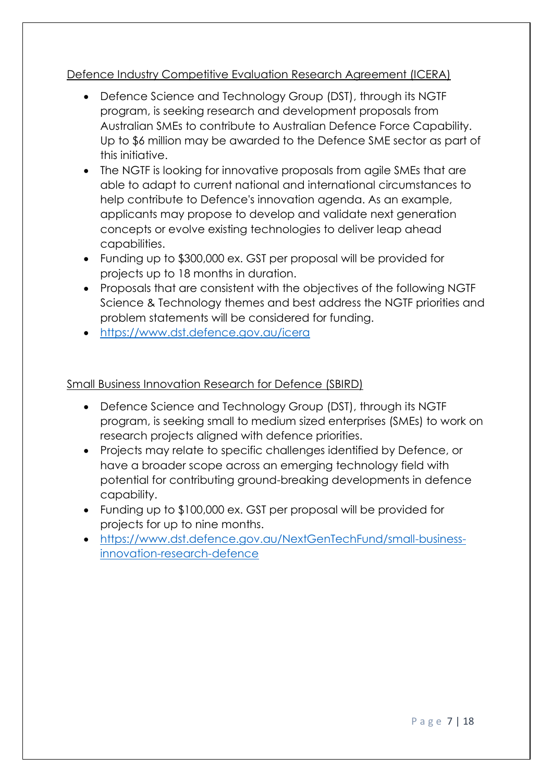# Defence Industry Competitive Evaluation Research Agreement (ICERA)

- Defence Science and Technology Group (DST), through its NGTF program, is seeking research and development proposals from Australian SMEs to contribute to Australian Defence Force Capability. Up to \$6 million may be awarded to the Defence SME sector as part of this initiative.
- The NGTF is looking for innovative proposals from agile SMEs that are able to adapt to current national and international circumstances to help contribute to Defence's innovation agenda. As an example, applicants may propose to develop and validate next generation concepts or evolve existing technologies to deliver leap ahead capabilities.
- Funding up to \$300,000 ex. GST per proposal will be provided for projects up to 18 months in duration.
- Proposals that are consistent with the objectives of the following NGTF Science & Technology themes and best address the NGTF priorities and problem statements will be considered for funding.
- <https://www.dst.defence.gov.au/icera>

## Small Business Innovation Research for Defence (SBIRD)

- Defence Science and Technology Group (DST), through its NGTF program, is seeking small to medium sized enterprises (SMEs) to work on research projects aligned with defence priorities.
- Projects may relate to specific challenges identified by Defence, or have a broader scope across an emerging technology field with potential for contributing ground-breaking developments in defence capability.
- Funding up to \$100,000 ex. GST per proposal will be provided for projects for up to nine months.
- [https://www.dst.defence.gov.au/NextGenTechFund/small-business](https://www.dst.defence.gov.au/NextGenTechFund/small-business-innovation-research-defence)[innovation-research-defence](https://www.dst.defence.gov.au/NextGenTechFund/small-business-innovation-research-defence)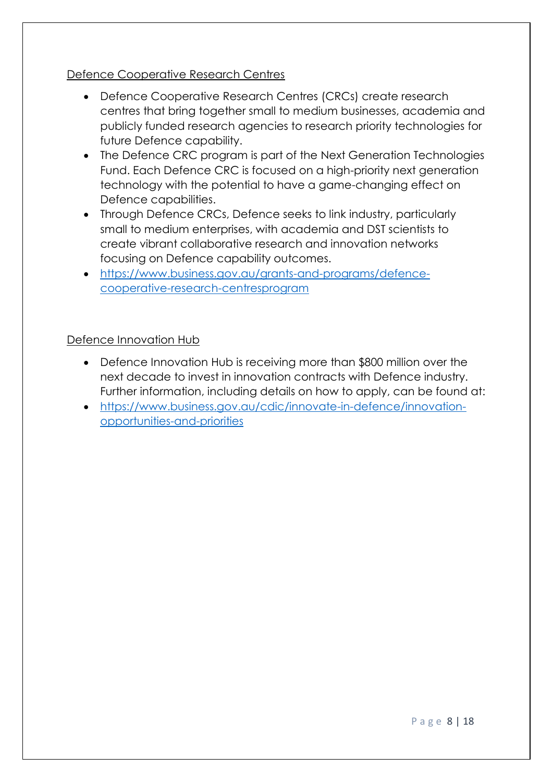## Defence Cooperative Research Centres

- Defence Cooperative Research Centres (CRCs) create research centres that bring together small to medium businesses, academia and publicly funded research agencies to research priority technologies for future Defence capability.
- The Defence CRC program is part of the Next Generation Technologies Fund. Each Defence CRC is focused on a high-priority next generation technology with the potential to have a game-changing effect on Defence capabilities.
- Through Defence CRCs, Defence seeks to link industry, particularly small to medium enterprises, with academia and DST scientists to create vibrant collaborative research and innovation networks focusing on Defence capability outcomes.
- [https://www.business.gov.au/grants-and-programs/defence](https://www.business.gov.au/grants-and-programs/defence-cooperative-research-centresprogram)[cooperative-research-centresprogram](https://www.business.gov.au/grants-and-programs/defence-cooperative-research-centresprogram)

## Defence Innovation Hub

- Defence Innovation Hub is receiving more than \$800 million over the next decade to invest in innovation contracts with Defence industry. Further information, including details on how to apply, can be found at:
- [https://www.business.gov.au/cdic/innovate-in-defence/innovation](https://www.business.gov.au/cdic/innovate-in-defence/innovation-opportunities-and-priorities)[opportunities-and-priorities](https://www.business.gov.au/cdic/innovate-in-defence/innovation-opportunities-and-priorities)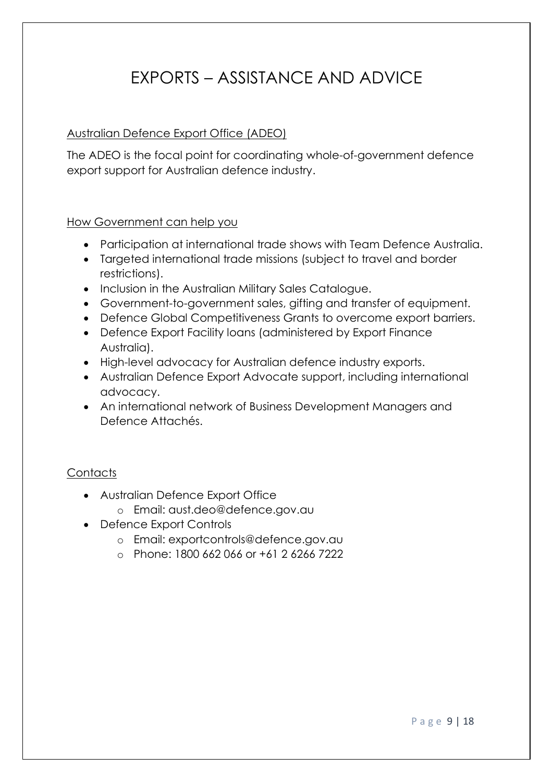# EXPORTS – ASSISTANCE AND ADVICE

# Australian Defence Export Office (ADEO)

The ADEO is the focal point for coordinating whole-of-government defence export support for Australian defence industry.

## How Government can help you

- Participation at international trade shows with Team Defence Australia.
- Targeted international trade missions (subject to travel and border restrictions).
- Inclusion in the Australian Military Sales Catalogue.
- Government-to-government sales, gifting and transfer of equipment.
- Defence Global Competitiveness Grants to overcome export barriers.
- Defence Export Facility loans (administered by Export Finance Australia).
- High-level advocacy for Australian defence industry exports.
- Australian Defence Export Advocate support, including international advocacy.
- An international network of Business Development Managers and Defence Attachés.

# **Contacts**

- Australian Defence Export Office
	- o Email: aust.deo@defence.gov.au
- Defence Export Controls
	- o Email: exportcontrols@defence.gov.au
	- o Phone: 1800 662 066 or +61 2 6266 7222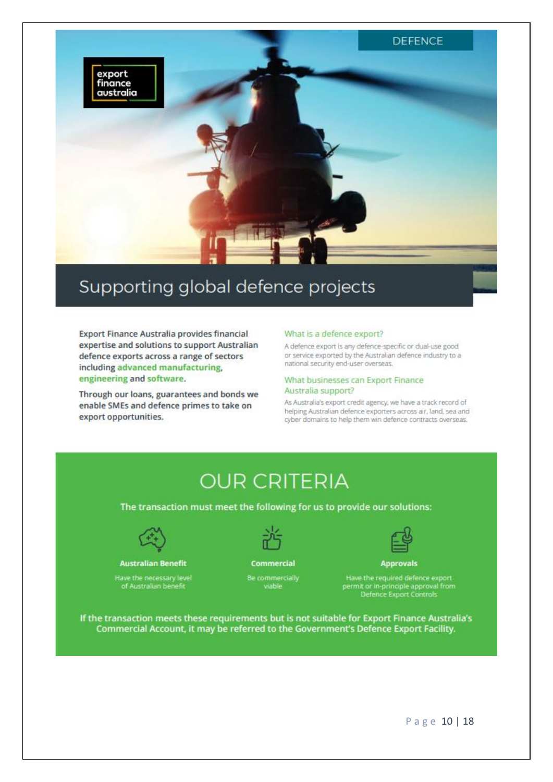

# Supporting global defence projects

Export Finance Australia provides financial expertise and solutions to support Australian defence exports across a range of sectors including advanced manufacturing, engineering and software.

Through our loans, guarantees and bonds we enable SMEs and defence primes to take on export opportunities.

### What is a defence export?

A defence export is any defence-specific or dual-use good or service exported by the Australian defence industry to a national security end-user overseas.

#### What businesses can Export Finance Australia support?

As Australia's export credit agency, we have a track record of helping Australian defence exporters across air, land, sea and cyber domains to help them win defence contracts overseas.

# **OUR CRITERIA**

The transaction must meet the following for us to provide our solutions:



#### **Australian Benefit**

Have the necessary level<br>of Australian benefit



# Commercial Be commercially<br>viable



**Approvals** 

Have the required defence export<br>permit or in-principle approval from<br>Defence Export Controls

If the transaction meets these requirements but is not suitable for Export Finance Australia's Commercial Account, it may be referred to the Government's Defence Export Facility.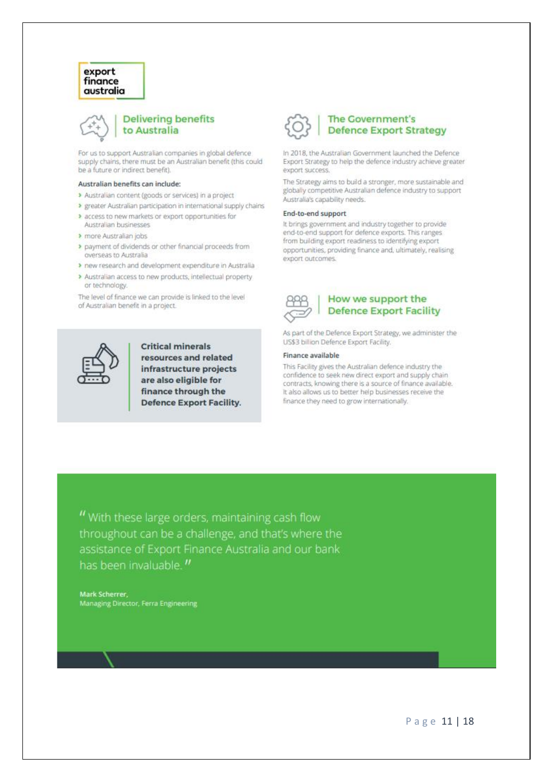### export finance australia



### **Delivering benefits** to Australia

For us to support Australian companies in global defence supply chains, there must be an Australian benefit (this could be a future or indirect benefit).

#### Australian benefits can include:

- > Australian content (goods or services) in a project
- > greater Australian participation in international supply chains
- > access to new markets or export opportunities for Australian businesses
- > more Australian jobs
- > payment of dividends or other financial proceeds from overseas to Australia
- > new research and development expenditure in Australia
- > Australian access to new products, intellectual property or technology

The level of finance we can provide is linked to the level of Australian benefit in a project.



**Critical minerals** resources and related infrastructure projects are also eligible for finance through the **Defence Export Facility.** 



## **The Government's Defence Export Strategy**

In 2018, the Australian Government launched the Defence Export Strategy to help the defence industry achieve greater export success.

The Strategy aims to build a stronger, more sustainable and globally competitive Australian defence industry to support Australia's capability needs.

#### End-to-end support

It brings government and industry together to provide end-to-end support for defence exports. This ranges from building export readiness to identifying export opportunities, providing finance and, ultimately, realising export outcomes.



## How we support the **Defence Export Facility**

As part of the Defence Export Strategy, we administer the US\$3 billion Defence Export Facility.

#### Finance available

This Facility gives the Australian defence industry the confidence to seek new direct export and supply chain contracts, knowing there is a source of finance available. It also allows us to better help businesses receive the finance they need to grow internationally.

" With these large orders, maintaining cash flow throughout can be a challenge, and that's where the assistance of Export Finance Australia and our bank has been invaluable.<sup>11</sup>

**Mark Scherrer** Managing Director, Ferra Engineering

Page 11 | 18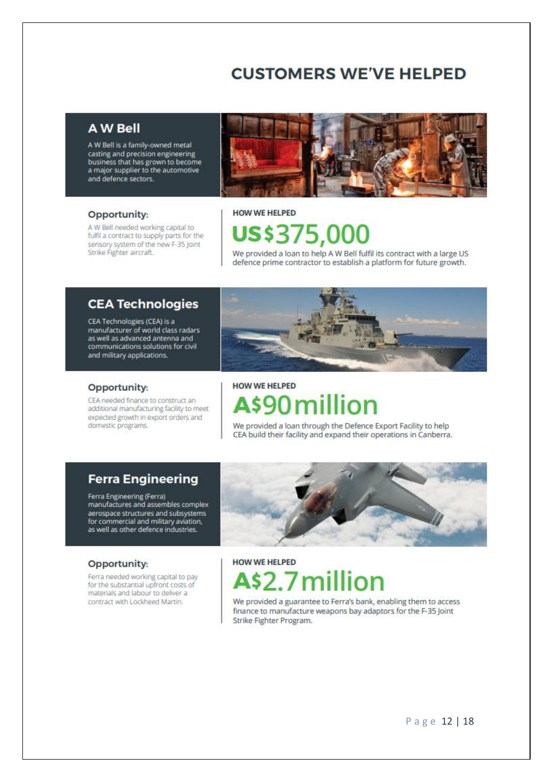# **CUSTOMERS WE'VE HELPED**

# **A W Bell**

A W Bell is a family-owned metal casting and precision engineering business that has grown to become<br>a major supplier to the automotive and defence sectors.

### Opportunity:

A W Bell needed working capital to fulfil a contract to supply parts for the sensory system of the new F-35 Joint Strike Fighter aircraft.



# **HOW WE HELPED uss375,000**

We provided a loan to help A W Bell fulfil its contract with a large US defence prime contractor to establish a platform for future growth.

## **CEA Technologies**

CEA Technologies (CEA) is a manufacturer of world class radars as well as advanced antenna and communications solutions for civil and military applications.



## Opportunity:

CEA needed finance to construct an additional manufacturing facility to meet expected growth in export orders and domestic programs.

# **HOW WE HELPED**

# A\$90 millior

We provided a loan through the Defence Export Facility to help CEA build their facility and expand their operations in Canberra.

## **Ferra Engineering**

Ferra Engineering (Ferra) manufactures and assembles complex aerospace structures and subsystems for commercial and military aviation,<br>as well as other defence industries.



### Opportunity:

Ferra needed working capital to pay for the substantial upfront costs of materials and labour to deliver a contract with Lockheed Martin.

# **HOW WE HELPED** 2.7n

We provided a guarantee to Ferra's bank, enabling them to access finance to manufacture weapons bay adaptors for the F-35 Joint Strike Fighter Program.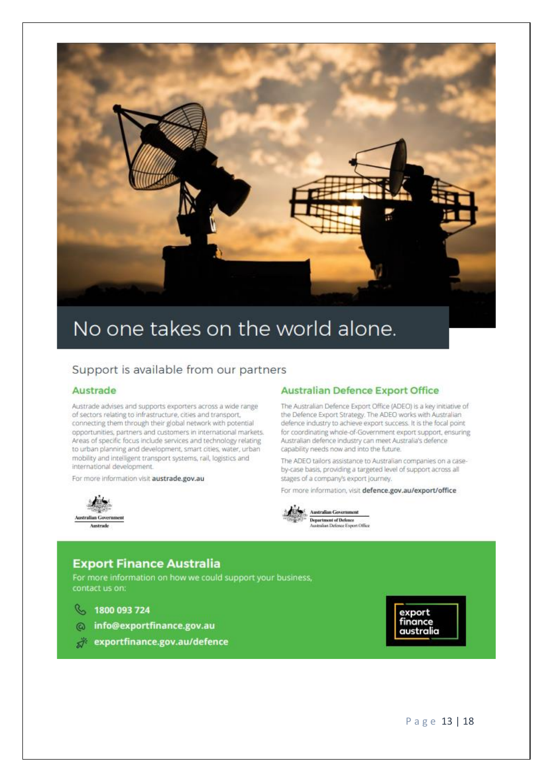

# No one takes on the world alone.

## Support is available from our partners

### Austrade

Austrade advises and supports exporters across a wide range of sectors relating to infrastructure, cities and transport, connecting them through their global network with potential opportunities, partners and customers in international markets. Areas of specific focus include services and technology relating to urban planning and development, smart cities, water, urban mobility and intelligent transport systems, rail, logistics and international development.

For more information visit austrade.gov.au



## **Australian Defence Export Office**

The Australian Defence Export Office (ADEO) is a key initiative of the Defence Export Strategy. The ADEO works with Australian defence industry to achieve export success. It is the focal point for coordinating whole-of-Government export support, ensuring Australian defence industry can meet Australia's defence capability needs now and into the future.

The ADEO tailors assistance to Australian companies on a caseby-case basis, providing a targeted level of support across all stages of a company's export journey.

For more information, visit defence.gov.au/export/office



**Department of Defence**<br>Australian Defence Export Office

## **Export Finance Australia**

For more information on how we could support your business, contact us on:

 $\mathcal{C}$ 1800 093 724

- info@exportfinance.gov.au  $\omega$
- exportfinance.gov.au/defence

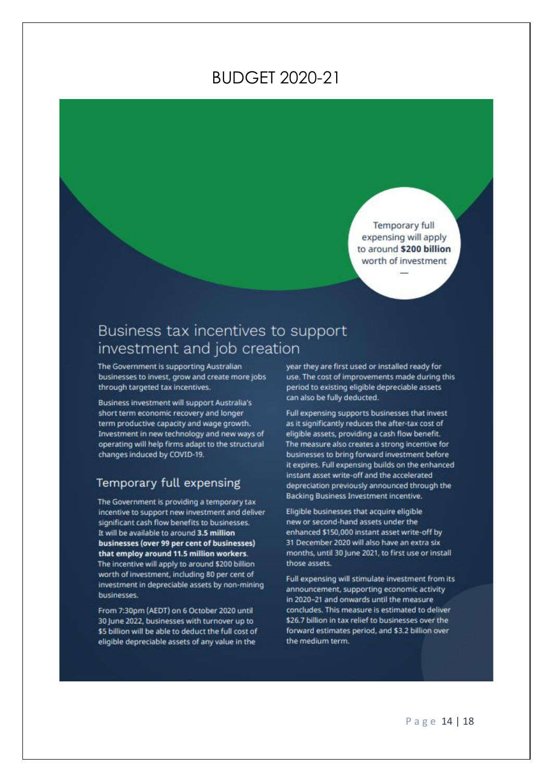# **BUDGET 2020-21**

Temporary full expensing will apply to around \$200 billion worth of investment

# Business tax incentives to support investment and job creation

The Government is supporting Australian businesses to invest, grow and create more jobs through targeted tax incentives.

Business investment will support Australia's short term economic recovery and longer term productive capacity and wage growth. Investment in new technology and new ways of operating will help firms adapt to the structural changes induced by COVID-19.

## Temporary full expensing

The Government is providing a temporary tax incentive to support new investment and deliver significant cash flow benefits to businesses. It will be available to around 3.5 million businesses (over 99 per cent of businesses) that employ around 11.5 million workers. The incentive will apply to around \$200 billion worth of investment, including 80 per cent of investment in depreciable assets by non-mining businesses.

From 7:30pm (AEDT) on 6 October 2020 until 30 June 2022, businesses with turnover up to \$5 billion will be able to deduct the full cost of eligible depreciable assets of any value in the

year they are first used or installed ready for use. The cost of improvements made during this period to existing eligible depreciable assets can also be fully deducted.

Full expensing supports businesses that invest as it significantly reduces the after-tax cost of eligible assets, providing a cash flow benefit. The measure also creates a strong incentive for businesses to bring forward investment before it expires. Full expensing builds on the enhanced instant asset write-off and the accelerated depreciation previously announced through the Backing Business Investment incentive.

Eligible businesses that acquire eligible new or second-hand assets under the enhanced \$150,000 instant asset write-off by 31 December 2020 will also have an extra six months, until 30 June 2021, to first use or install those assets.

Full expensing will stimulate investment from its announcement, supporting economic activity in 2020-21 and onwards until the measure concludes. This measure is estimated to deliver \$26.7 billion in tax relief to businesses over the forward estimates period, and \$3.2 billion over the medium term.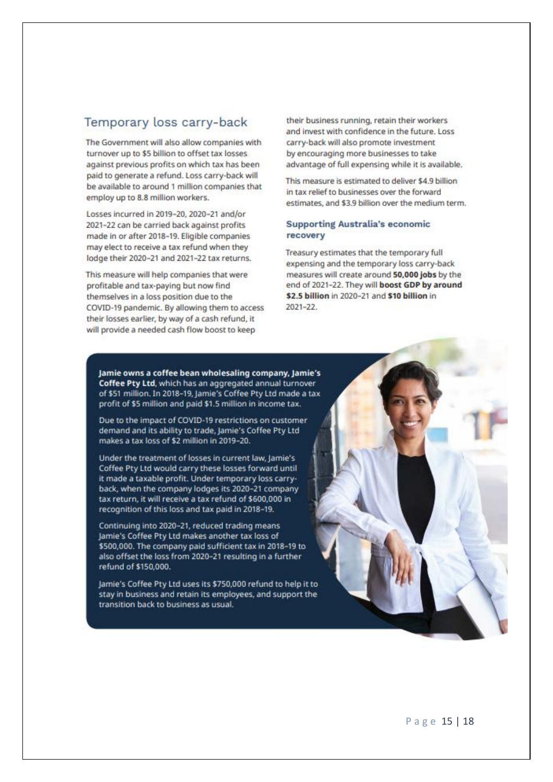## Temporary loss carry-back

The Government will also allow companies with turnover up to \$5 billion to offset tax losses against previous profits on which tax has been paid to generate a refund. Loss carry-back will be available to around 1 million companies that employ up to 8.8 million workers.

Losses incurred in 2019-20, 2020-21 and/or 2021-22 can be carried back against profits made in or after 2018-19. Eligible companies may elect to receive a tax refund when they lodge their 2020-21 and 2021-22 tax returns.

This measure will help companies that were profitable and tax-paying but now find themselves in a loss position due to the COVID-19 pandemic. By allowing them to access their losses earlier, by way of a cash refund, it will provide a needed cash flow boost to keep

their business running, retain their workers and invest with confidence in the future. Loss carry-back will also promote investment by encouraging more businesses to take advantage of full expensing while it is available.

This measure is estimated to deliver \$4.9 billion in tay raliaf to hucinaccas may the forward estimates, and \$3.9 billion over the medium term.

### **Supporting Australia's economic** recovery

Treasury estimates that the temporary full expensing and the temporary loss carry-back measures will create around 50,000 jobs by the end of 2021-22. They will boost GDP by around \$2.5 billion in 2020-21 and \$10 billion in  $2021 - 22$ 

Jamie owns a coffee bean wholesaling company, Jamie's Coffee Pty Ltd, which has an aggregated annual turnover of \$51 million. In 2018-19, Jamie's Coffee Pty Ltd made a tax profit of \$5 million and paid \$1.5 million in income tax.

Due to the impact of COVID-19 restrictions on customer demand and its ability to trade, Jamie's Coffee Pty Ltd makes a tax loss of \$2 million in 2019-20.

Under the treatment of losses in current law, Jamie's Coffee Pty Ltd would carry these losses forward until it made a taxable profit. Under temporary loss carryback, when the company lodges its 2020-21 company tax return, it will receive a tax refund of \$600,000 in recognition of this loss and tax paid in 2018-19.

Continuing into 2020-21, reduced trading means Jamie's Coffee Pty Ltd makes another tax loss of \$500,000. The company paid sufficient tax in 2018-19 to also offset the loss from 2020-21 resulting in a further refund of \$150,000.

Jamie's Coffee Pty Ltd uses its \$750,000 refund to help it to stay in business and retain its employees, and support the transition back to business as usual.

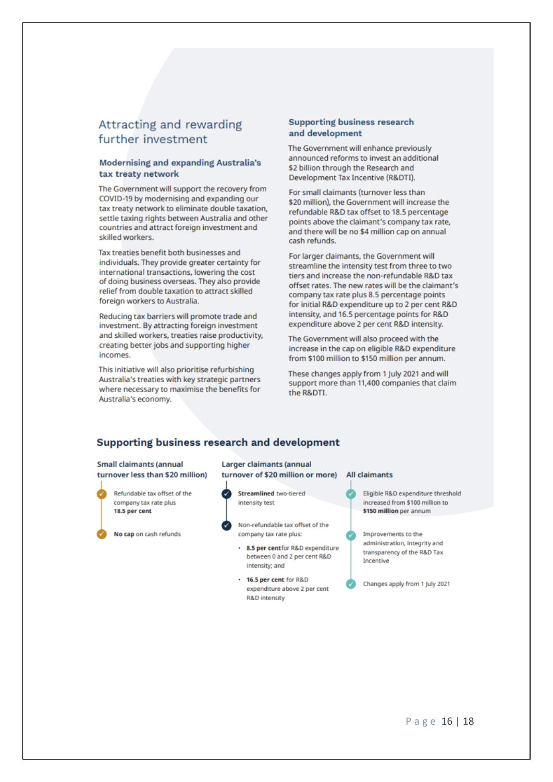## Attracting and rewarding further investment

### **Modernising and expanding Australia's** tax treaty network

The Government will support the recovery from COVID-19 by modernising and expanding our tax treaty network to eliminate double taxation, settle taxing rights between Australia and other countries and attract foreign investment and skilled workers.

Tax treaties benefit both businesses and individuals. They provide greater certainty for international transactions, lowering the cost of doing business overseas. They also provide relief from double taxation to attract skilled foreign workers to Australia.

Reducing tax barriers will promote trade and investment. By attracting foreign investment and skilled workers, treaties raise productivity, creating better jobs and supporting higher incomes.

This initiative will also prioritise refurbishing Australia's treaties with key strategic partners where necessary to maximise the benefits for Australia's economy.

### **Supporting business research** and development

The Government will enhance previously announced reforms to invest an additional \$2 billion through the Research and Development Tax Incentive (R&DTI).

For small claimants (turnover less than \$20 million), the Government will increase the refundable R&D tax offset to 18.5 percentage points above the claimant's company tax rate. and there will be no \$4 million cap on annual cash refunds.

For larger claimants, the Government will streamline the intensity test from three to two tiers and increase the non-refundable R&D tax offset rates. The new rates will be the claimant's company tax rate plus 8.5 percentage points for initial R&D expenditure up to 2 per cent R&D intensity, and 16.5 percentage points for R&D expenditure above 2 per cent R&D intensity.

The Government will also proceed with the increase in the cap on eligible R&D expenditure from \$100 million to \$150 million per annum.

These changes apply from 1 July 2021 and will support more than 11,400 companies that claim the R&DTI.

## Supporting business research and development

**Small claimants (annual** turnover less than \$20 million)



No cap on cash refunds



- **Streamlined** two-tiered intensity test
- Non-refundable tax offset of the company tax rate plus:
- 8.5 per centfor R&D expenditure between 0 and 2 per cent R&D intensity; and
- . 16.5 per cent for R&D expenditure above 2 per cent **R&D** intensity

#### **All claimants**

- Eligible R&D expenditure threshold increased from \$100 million to \$150 million per annum
- Improvements to the administration, integrity and transparency of the R&D Tax Incentive

Changes apply from 1 July 2021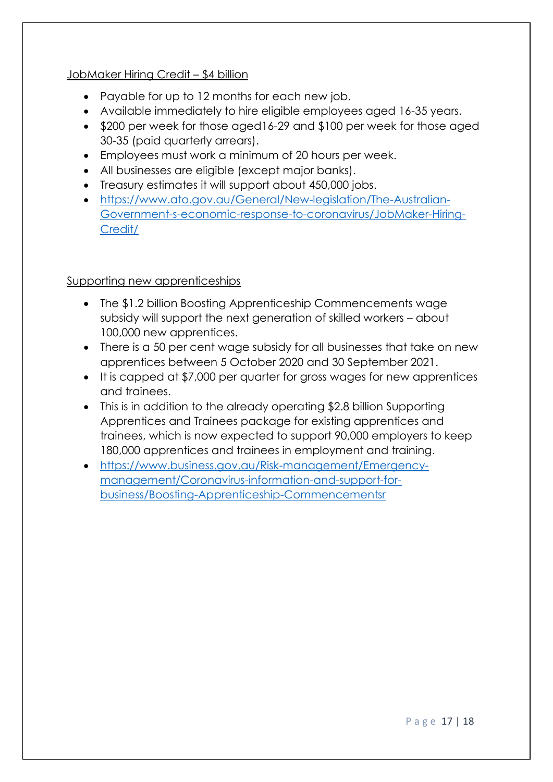## JobMaker Hiring Credit – \$4 billion

- Payable for up to 12 months for each new job.
- Available immediately to hire eligible employees aged 16-35 years.
- \$200 per week for those aged16-29 and \$100 per week for those aged 30-35 (paid quarterly arrears).
- Employees must work a minimum of 20 hours per week.
- All businesses are eligible (except major banks).
- Treasury estimates it will support about 450,000 jobs.
- [https://www.ato.gov.au/General/New-legislation/The-Australian-](https://www.ato.gov.au/General/New-legislation/The-Australian-Government-s-economic-response-to-coronavirus/JobMaker-Hiring-Credit/)[Government-s-economic-response-to-coronavirus/JobMaker-Hiring-](https://www.ato.gov.au/General/New-legislation/The-Australian-Government-s-economic-response-to-coronavirus/JobMaker-Hiring-Credit/)[Credit/](https://www.ato.gov.au/General/New-legislation/The-Australian-Government-s-economic-response-to-coronavirus/JobMaker-Hiring-Credit/)

# Supporting new apprenticeships

- The \$1.2 billion Boosting Apprenticeship Commencements wage subsidy will support the next generation of skilled workers – about 100,000 new apprentices.
- There is a 50 per cent wage subsidy for all businesses that take on new apprentices between 5 October 2020 and 30 September 2021.
- It is capped at \$7,000 per quarter for gross wages for new apprentices and trainees.
- This is in addition to the already operating \$2.8 billion Supporting Apprentices and Trainees package for existing apprentices and trainees, which is now expected to support 90,000 employers to keep 180,000 apprentices and trainees in employment and training.
- [https://www.business.gov.au/Risk-management/Emergency](https://www.business.gov.au/Risk-management/Emergency-management/Coronavirus-information-and-support-for-business/Boosting-Apprenticeship-Commencementsr)[management/Coronavirus-information-and-support-for](https://www.business.gov.au/Risk-management/Emergency-management/Coronavirus-information-and-support-for-business/Boosting-Apprenticeship-Commencementsr)[business/Boosting-Apprenticeship-Commencementsr](https://www.business.gov.au/Risk-management/Emergency-management/Coronavirus-information-and-support-for-business/Boosting-Apprenticeship-Commencementsr)